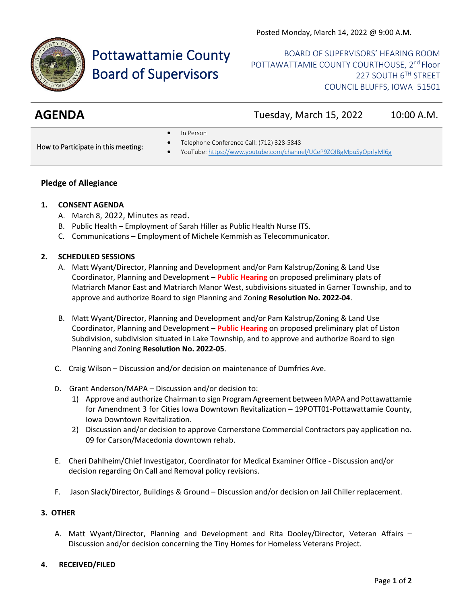

# Pottawattamie County Board of Supervisors

BOARD OF SUPERVISORS' HEARING ROOM POTTAWATTAMIE COUNTY COURTHOUSE, 2<sup>nd</sup> Floor 227 SOUTH 6TH STREET COUNCIL BLUFFS, IOWA 51501

**AGENDA** Tuesday, March 15, 2022 10:00 A.M.

• In Person

How to Participate in this meeting:

- Telephone Conference Call: (712) 328-5848
- YouTube[: https://www.youtube.com/channel/UCeP9ZQIBgMpuSyOprlyMl6g](https://www.youtube.com/channel/UCeP9ZQIBgMpuSyOprlyMl6g)

# **Pledge of Allegiance**

# **1. CONSENT AGENDA**

- A. March 8, 2022, Minutes as read.
- B. Public Health Employment of Sarah Hiller as Public Health Nurse ITS.
- C. Communications Employment of Michele Kemmish as Telecommunicator.

### **2. SCHEDULED SESSIONS**

- A. Matt Wyant/Director, Planning and Development and/or Pam Kalstrup/Zoning & Land Use Coordinator, Planning and Development – **Public Hearing** on proposed preliminary plats of Matriarch Manor East and Matriarch Manor West, subdivisions situated in Garner Township, and to approve and authorize Board to sign Planning and Zoning **Resolution No. 2022-04**.
- B. Matt Wyant/Director, Planning and Development and/or Pam Kalstrup/Zoning & Land Use Coordinator, Planning and Development – **Public Hearing** on proposed preliminary plat of Liston Subdivision, subdivision situated in Lake Township, and to approve and authorize Board to sign Planning and Zoning **Resolution No. 2022-05**.
- C. Craig Wilson Discussion and/or decision on maintenance of Dumfries Ave.
- D. Grant Anderson/MAPA Discussion and/or decision to:
	- 1) Approve and authorize Chairman to sign Program Agreement between MAPA and Pottawattamie for Amendment 3 for Cities Iowa Downtown Revitalization – 19POTT01-Pottawattamie County, Iowa Downtown Revitalization.
	- 2) Discussion and/or decision to approve Cornerstone Commercial Contractors pay application no. 09 for Carson/Macedonia downtown rehab.
- E. Cheri Dahlheim/Chief Investigator, Coordinator for Medical Examiner Office Discussion and/or decision regarding On Call and Removal policy revisions.
- F. Jason Slack/Director, Buildings & Ground Discussion and/or decision on Jail Chiller replacement.

### **3. OTHER**

A. Matt Wyant/Director, Planning and Development and Rita Dooley/Director, Veteran Affairs – Discussion and/or decision concerning the Tiny Homes for Homeless Veterans Project.

# **4. RECEIVED/FILED**